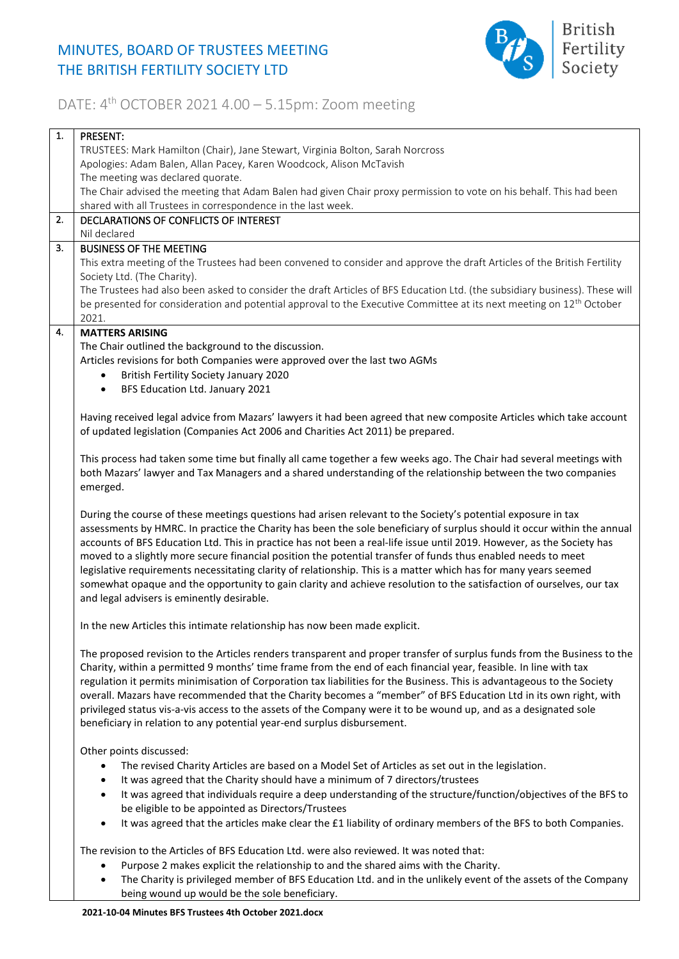## MINUTES, BOARD OF TRUSTEES MEETING THE BRITISH FERTILITY SOCIETY LTD



## DATE: 4<sup>th</sup> OCTOBER 2021 4.00 - 5.15pm: Zoom meeting

| 1. | PRESENT:                                                                                                                         |
|----|----------------------------------------------------------------------------------------------------------------------------------|
|    | TRUSTEES: Mark Hamilton (Chair), Jane Stewart, Virginia Bolton, Sarah Norcross                                                   |
|    | Apologies: Adam Balen, Allan Pacey, Karen Woodcock, Alison McTavish                                                              |
|    | The meeting was declared quorate.                                                                                                |
|    | The Chair advised the meeting that Adam Balen had given Chair proxy permission to vote on his behalf. This had been              |
|    | shared with all Trustees in correspondence in the last week.                                                                     |
| 2. | DECLARATIONS OF CONFLICTS OF INTEREST                                                                                            |
|    | Nil declared                                                                                                                     |
| 3. | <b>BUSINESS OF THE MEETING</b>                                                                                                   |
|    | This extra meeting of the Trustees had been convened to consider and approve the draft Articles of the British Fertility         |
|    | Society Ltd. (The Charity).                                                                                                      |
|    | The Trustees had also been asked to consider the draft Articles of BFS Education Ltd. (the subsidiary business). These will      |
|    | be presented for consideration and potential approval to the Executive Committee at its next meeting on 12 <sup>th</sup> October |
|    | 2021.                                                                                                                            |
| 4. | <b>MATTERS ARISING</b>                                                                                                           |
|    | The Chair outlined the background to the discussion.                                                                             |
|    | Articles revisions for both Companies were approved over the last two AGMs                                                       |
|    | British Fertility Society January 2020<br>$\bullet$                                                                              |
|    | BFS Education Ltd. January 2021<br>$\bullet$                                                                                     |
|    |                                                                                                                                  |
|    | Having received legal advice from Mazars' lawyers it had been agreed that new composite Articles which take account              |
|    | of updated legislation (Companies Act 2006 and Charities Act 2011) be prepared.                                                  |
|    |                                                                                                                                  |
|    | This process had taken some time but finally all came together a few weeks ago. The Chair had several meetings with              |
|    | both Mazars' lawyer and Tax Managers and a shared understanding of the relationship between the two companies                    |
|    | emerged.                                                                                                                         |
|    |                                                                                                                                  |
|    | During the course of these meetings questions had arisen relevant to the Society's potential exposure in tax                     |
|    | assessments by HMRC. In practice the Charity has been the sole beneficiary of surplus should it occur within the annual          |
|    | accounts of BFS Education Ltd. This in practice has not been a real-life issue until 2019. However, as the Society has           |
|    | moved to a slightly more secure financial position the potential transfer of funds thus enabled needs to meet                    |
|    | legislative requirements necessitating clarity of relationship. This is a matter which has for many years seemed                 |
|    | somewhat opaque and the opportunity to gain clarity and achieve resolution to the satisfaction of ourselves, our tax             |
|    | and legal advisers is eminently desirable.                                                                                       |
|    | In the new Articles this intimate relationship has now been made explicit.                                                       |
|    |                                                                                                                                  |
|    | The proposed revision to the Articles renders transparent and proper transfer of surplus funds from the Business to the          |
|    | Charity, within a permitted 9 months' time frame from the end of each financial year, feasible. In line with tax                 |
|    | regulation it permits minimisation of Corporation tax liabilities for the Business. This is advantageous to the Society          |
|    | overall. Mazars have recommended that the Charity becomes a "member" of BFS Education Ltd in its own right, with                 |
|    | privileged status vis-a-vis access to the assets of the Company were it to be wound up, and as a designated sole                 |
|    | beneficiary in relation to any potential year-end surplus disbursement.                                                          |
|    |                                                                                                                                  |
|    | Other points discussed:                                                                                                          |
|    | The revised Charity Articles are based on a Model Set of Articles as set out in the legislation.<br>$\bullet$                    |
|    | It was agreed that the Charity should have a minimum of 7 directors/trustees<br>$\bullet$                                        |
|    | It was agreed that individuals require a deep understanding of the structure/function/objectives of the BFS to<br>$\bullet$      |
|    | be eligible to be appointed as Directors/Trustees                                                                                |
|    | It was agreed that the articles make clear the £1 liability of ordinary members of the BFS to both Companies.<br>$\bullet$       |
|    |                                                                                                                                  |
|    | The revision to the Articles of BFS Education Ltd. were also reviewed. It was noted that:                                        |
|    | Purpose 2 makes explicit the relationship to and the shared aims with the Charity.<br>$\bullet$                                  |
|    | The Charity is privileged member of BFS Education Ltd. and in the unlikely event of the assets of the Company                    |
|    | $\bullet$                                                                                                                        |
|    | being wound up would be the sole beneficiary.                                                                                    |